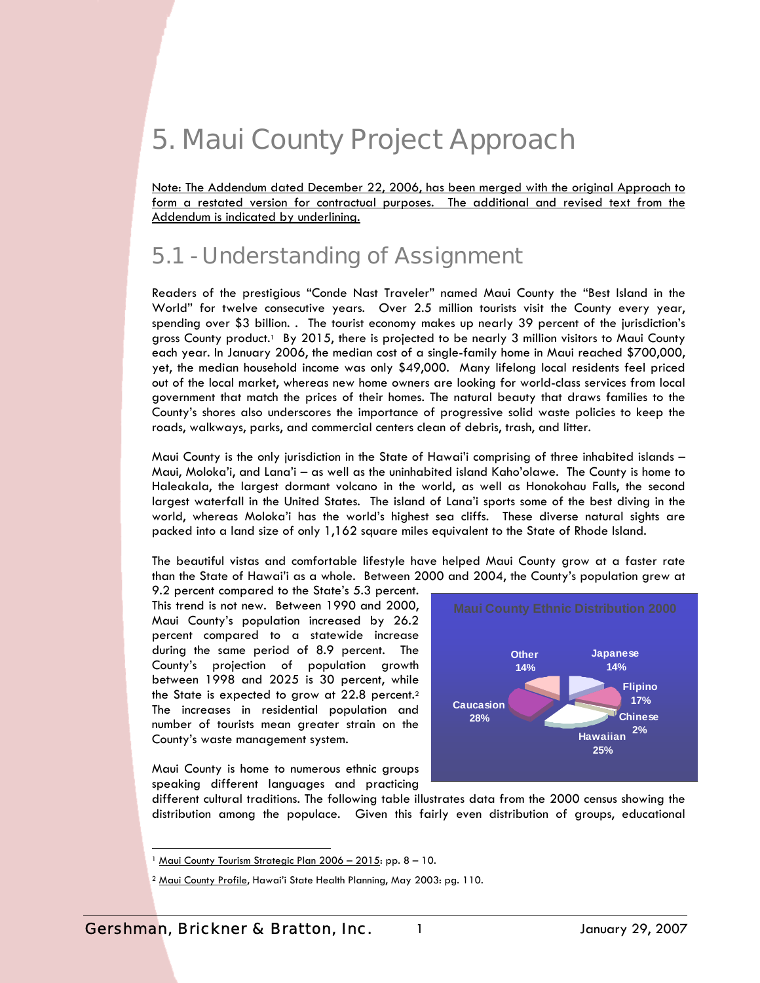# 5. Maui County Project Approach

Note: The Addendum dated December 22, 2006, has been merged with the original Approach to form a restated version for contractual purposes. The additional and revised text from the Addendum is indicated by underlining.

## 5.1 - Understanding of Assignment

Readers of the prestigious "Conde Nast Traveler" named Maui County the "Best Island in the World" for twelve consecutive years. Over 2.5 million tourists visit the County every year, spending over \$3 billion. . The tourist economy makes up nearly 39 percent of the jurisdiction's gross County product.<sup>1</sup> By 2015, there is projected to be nearly 3 million visitors to Maui County each year. In January 2006, the median cost of a single-family home in Maui reached \$700,000, yet, the median household income was only \$49,000. Many lifelong local residents feel priced out of the local market, whereas new home owners are looking for world-class services from local government that match the prices of their homes. The natural beauty that draws families to the County's shores also underscores the importance of progressive solid waste policies to keep the roads, walkways, parks, and commercial centers clean of debris, trash, and litter.

Maui County is the only jurisdiction in the State of Hawai'i comprising of three inhabited islands – Maui, Moloka'i, and Lana'i – as well as the uninhabited island Kaho'olawe. The County is home to Haleakala, the largest dormant volcano in the world, as well as Honokohau Falls, the second largest waterfall in the United States. The island of Lana'i sports some of the best diving in the world, whereas Moloka'i has the world's highest sea cliffs. These diverse natural sights are packed into a land size of only 1,162 square miles equivalent to the State of Rhode Island.

The beautiful vistas and comfortable lifestyle have helped Maui County grow at a faster rate than the State of Hawai'i as a whole. Between 2000 and 2004, the County's population grew at

9.2 percent compared to the State's 5.3 percent. This trend is not new. Between 1990 and 2000, Maui County's population increased by 26.2 percent compared to a statewide increase during the same period of 8.9 percent. The County's projection of population growth between 1998 and 2025 is 30 percent, while the State is expected to grow at 22.8 percent.2 The increases in residential population and number of tourists mean greater strain on the County's waste management system.



Maui County is home to numerous ethnic groups speaking different languages and practicing

different cultural traditions. The following table illustrates data from the 2000 census showing the distribution among the populace. Given this fairly even distribution of groups, educational

1

<sup>&</sup>lt;sup>1</sup> Maui County Tourism Strategic Plan 2006 - 2015: pp. 8 - 10.

<sup>&</sup>lt;sup>2</sup> Maui County Profile, Hawai'i State Health Planning, May 2003: pg. 110.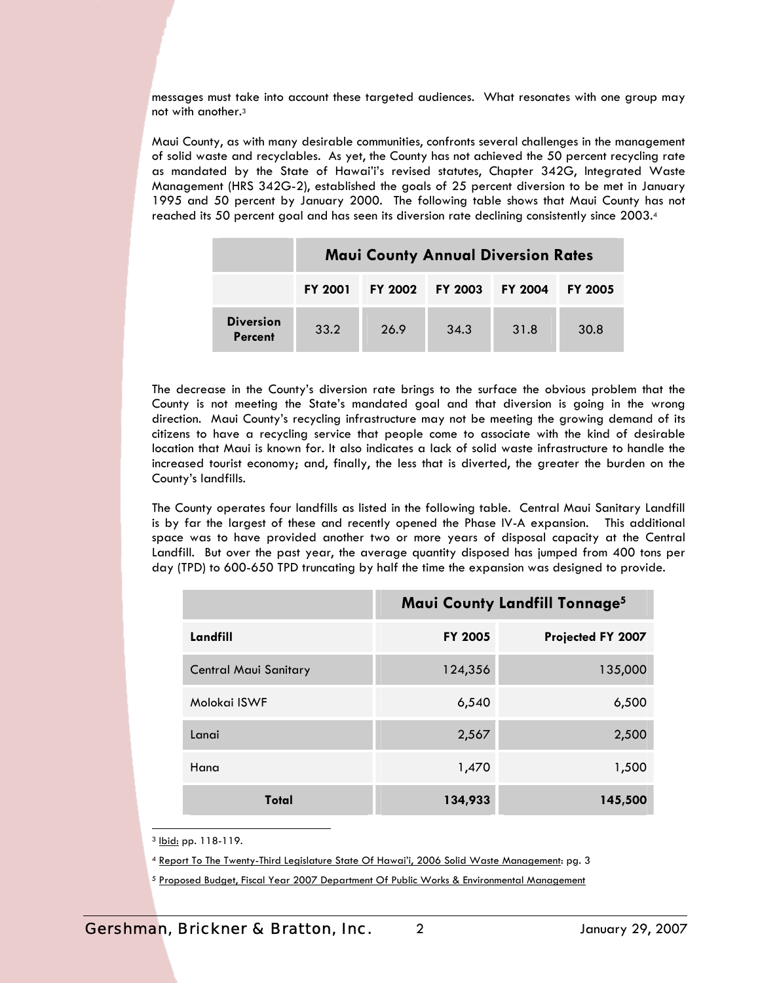messages must take into account these targeted audiences. What resonates with one group may not with another.3

Maui County, as with many desirable communities, confronts several challenges in the management of solid waste and recyclables. As yet, the County has not achieved the 50 percent recycling rate as mandated by the State of Hawai'i's revised statutes, Chapter 342G, Integrated Waste Management (HRS 342G-2), established the goals of 25 percent diversion to be met in January 1995 and 50 percent by January 2000. The following table shows that Maui County has not reached its 50 percent goal and has seen its diversion rate declining consistently since 2003.4

|                                    | <b>Maui County Annual Diversion Rates</b> |                |                |                |                |
|------------------------------------|-------------------------------------------|----------------|----------------|----------------|----------------|
|                                    | <b>FY 2001</b>                            | <b>FY 2002</b> | <b>FY 2003</b> | <b>FY 2004</b> | <b>FY 2005</b> |
| <b>Diversion</b><br><b>Percent</b> | 33.2                                      | 26.9           | 34.3           | 31.8           | 30.8           |

The decrease in the County's diversion rate brings to the surface the obvious problem that the County is not meeting the State's mandated goal and that diversion is going in the wrong direction. Maui County's recycling infrastructure may not be meeting the growing demand of its citizens to have a recycling service that people come to associate with the kind of desirable location that Maui is known for. It also indicates a lack of solid waste infrastructure to handle the increased tourist economy; and, finally, the less that is diverted, the greater the burden on the County's landfills.

The County operates four landfills as listed in the following table. Central Maui Sanitary Landfill is by far the largest of these and recently opened the Phase IV-A expansion. This additional space was to have provided another two or more years of disposal capacity at the Central Landfill. But over the past year, the average quantity disposed has jumped from 400 tons per day (TPD) to 600-650 TPD truncating by half the time the expansion was designed to provide.

|                              | <b>Maui County Landfill Tonnage<sup>5</sup></b> |                   |
|------------------------------|-------------------------------------------------|-------------------|
| Landfill                     | <b>FY 2005</b>                                  | Projected FY 2007 |
| <b>Central Maui Sanitary</b> | 124,356                                         | 135,000           |
| Molokai ISWF                 | 6,540                                           | 6,500             |
| Lanai                        | 2,567                                           | 2,500             |
| Hana                         | 1,470                                           | 1,500             |
| Total                        | 134,933                                         | 145,500           |

1 3 Ibid: pp. 118-119.

4 Report To The Twenty-Third Legislature State Of Hawai'i, 2006 Solid Waste Management: pg. 3

5 Proposed Budget, Fiscal Year 2007 Department Of Public Works & Environmental Management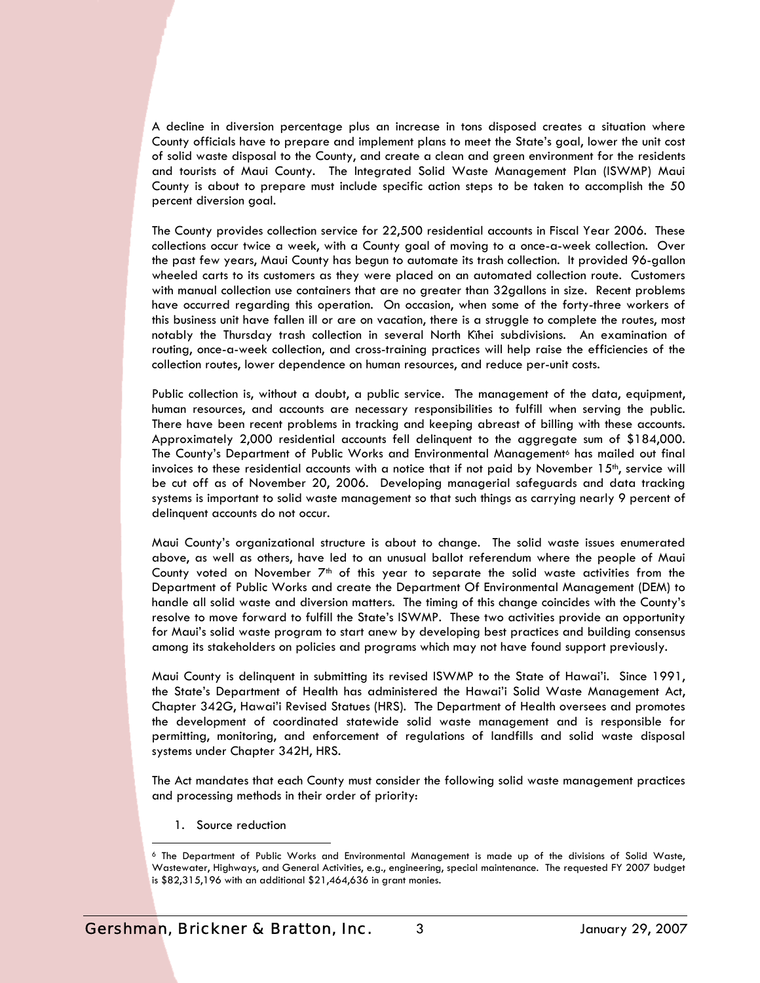A decline in diversion percentage plus an increase in tons disposed creates a situation where County officials have to prepare and implement plans to meet the State's goal, lower the unit cost of solid waste disposal to the County, and create a clean and green environment for the residents and tourists of Maui County. The Integrated Solid Waste Management Plan (ISWMP) Maui County is about to prepare must include specific action steps to be taken to accomplish the 50 percent diversion goal.

The County provides collection service for 22,500 residential accounts in Fiscal Year 2006. These collections occur twice a week, with a County goal of moving to a once-a-week collection. Over the past few years, Maui County has begun to automate its trash collection. It provided 96-gallon wheeled carts to its customers as they were placed on an automated collection route. Customers with manual collection use containers that are no greater than 32gallons in size. Recent problems have occurred regarding this operation. On occasion, when some of the forty-three workers of this business unit have fallen ill or are on vacation, there is a struggle to complete the routes, most notably the Thursday trash collection in several North Kïhei subdivisions. An examination of routing, once-a-week collection, and cross-training practices will help raise the efficiencies of the collection routes, lower dependence on human resources, and reduce per-unit costs.

Public collection is, without a doubt, a public service. The management of the data, equipment, human resources, and accounts are necessary responsibilities to fulfill when serving the public. There have been recent problems in tracking and keeping abreast of billing with these accounts. Approximately 2,000 residential accounts fell delinquent to the aggregate sum of \$184,000. The County's Department of Public Works and Environmental Management<sup>6</sup> has mailed out final invoices to these residential accounts with a notice that if not paid by November  $15<sup>th</sup>$ , service will be cut off as of November 20, 2006. Developing managerial safeguards and data tracking systems is important to solid waste management so that such things as carrying nearly 9 percent of delinquent accounts do not occur.

Maui County's organizational structure is about to change. The solid waste issues enumerated above, as well as others, have led to an unusual ballot referendum where the people of Maui County voted on November  $7<sup>th</sup>$  of this year to separate the solid waste activities from the Department of Public Works and create the Department Of Environmental Management (DEM) to handle all solid waste and diversion matters. The timing of this change coincides with the County's resolve to move forward to fulfill the State's ISWMP. These two activities provide an opportunity for Maui's solid waste program to start anew by developing best practices and building consensus among its stakeholders on policies and programs which may not have found support previously.

Maui County is delinquent in submitting its revised ISWMP to the State of Hawai'i. Since 1991, the State's Department of Health has administered the Hawai'i Solid Waste Management Act, Chapter 342G, Hawai'i Revised Statues (HRS). The Department of Health oversees and promotes the development of coordinated statewide solid waste management and is responsible for permitting, monitoring, and enforcement of regulations of landfills and solid waste disposal systems under Chapter 342H, HRS.

The Act mandates that each County must consider the following solid waste management practices and processing methods in their order of priority:

1. Source reduction

1

<sup>6</sup> The Department of Public Works and Environmental Management is made up of the divisions of Solid Waste, Wastewater, Highways, and General Activities, e.g., engineering, special maintenance. The requested FY 2007 budget is \$82,315,196 with an additional \$21,464,636 in grant monies.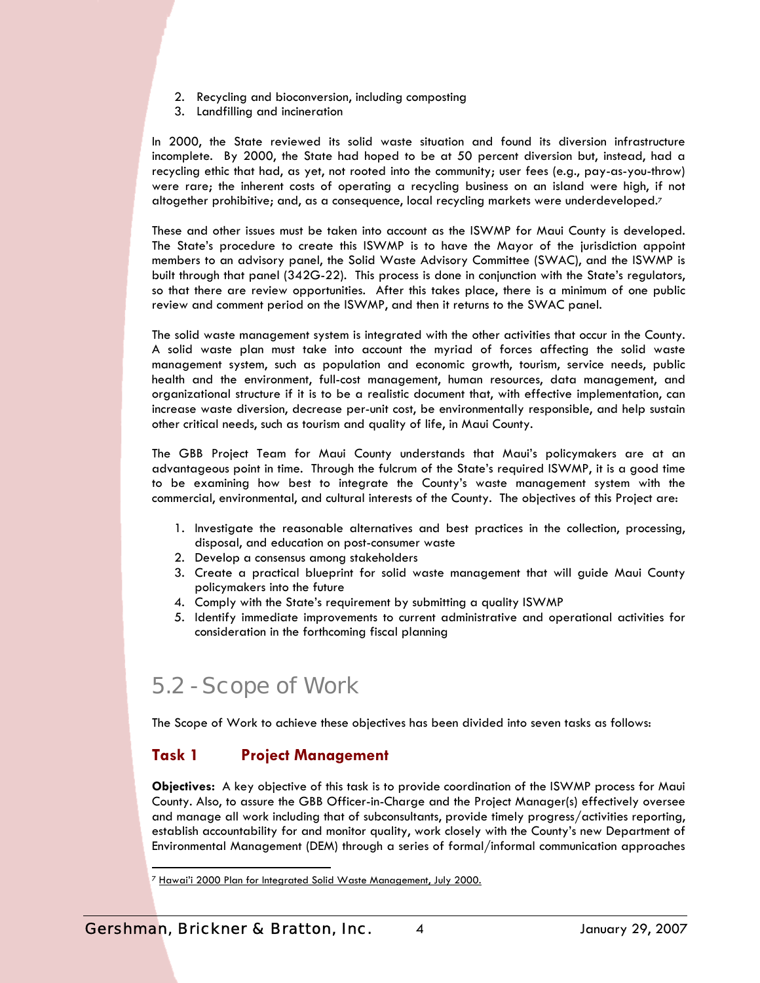- 2. Recycling and bioconversion, including composting
- 3. Landfilling and incineration

In 2000, the State reviewed its solid waste situation and found its diversion infrastructure incomplete. By 2000, the State had hoped to be at 50 percent diversion but, instead, had a recycling ethic that had, as yet, not rooted into the community; user fees (e.g., pay-as-you-throw) were rare; the inherent costs of operating a recycling business on an island were high, if not altogether prohibitive; and, as a consequence, local recycling markets were underdeveloped.7

These and other issues must be taken into account as the ISWMP for Maui County is developed. The State's procedure to create this ISWMP is to have the Mayor of the jurisdiction appoint members to an advisory panel, the Solid Waste Advisory Committee (SWAC), and the ISWMP is built through that panel (342G-22). This process is done in conjunction with the State's regulators, so that there are review opportunities. After this takes place, there is a minimum of one public review and comment period on the ISWMP, and then it returns to the SWAC panel.

The solid waste management system is integrated with the other activities that occur in the County. A solid waste plan must take into account the myriad of forces affecting the solid waste management system, such as population and economic growth, tourism, service needs, public health and the environment, full-cost management, human resources, data management, and organizational structure if it is to be a realistic document that, with effective implementation, can increase waste diversion, decrease per-unit cost, be environmentally responsible, and help sustain other critical needs, such as tourism and quality of life, in Maui County.

The GBB Project Team for Maui County understands that Maui's policymakers are at an advantageous point in time. Through the fulcrum of the State's required ISWMP, it is a good time to be examining how best to integrate the County's waste management system with the commercial, environmental, and cultural interests of the County. The objectives of this Project are:

- 1. Investigate the reasonable alternatives and best practices in the collection, processing, disposal, and education on post-consumer waste
- 2. Develop a consensus among stakeholders
- 3. Create a practical blueprint for solid waste management that will guide Maui County policymakers into the future
- 4. Comply with the State's requirement by submitting a quality ISWMP
- 5. Identify immediate improvements to current administrative and operational activities for consideration in the forthcoming fiscal planning

## 5.2 - Scope of Work

The Scope of Work to achieve these objectives has been divided into seven tasks as follows:

## **Task 1 Project Management**

**Objectives:** A key objective of this task is to provide coordination of the ISWMP process for Maui County. Also, to assure the GBB Officer-in-Charge and the Project Manager(s) effectively oversee and manage all work including that of subconsultants, provide timely progress/activities reporting, establish accountability for and monitor quality, work closely with the County's new Department of Environmental Management (DEM) through a series of formal/informal communication approaches

<sup>&</sup>lt;sup>7</sup> Hawai'i 2000 Plan for Integrated Solid Waste Management, July 2000.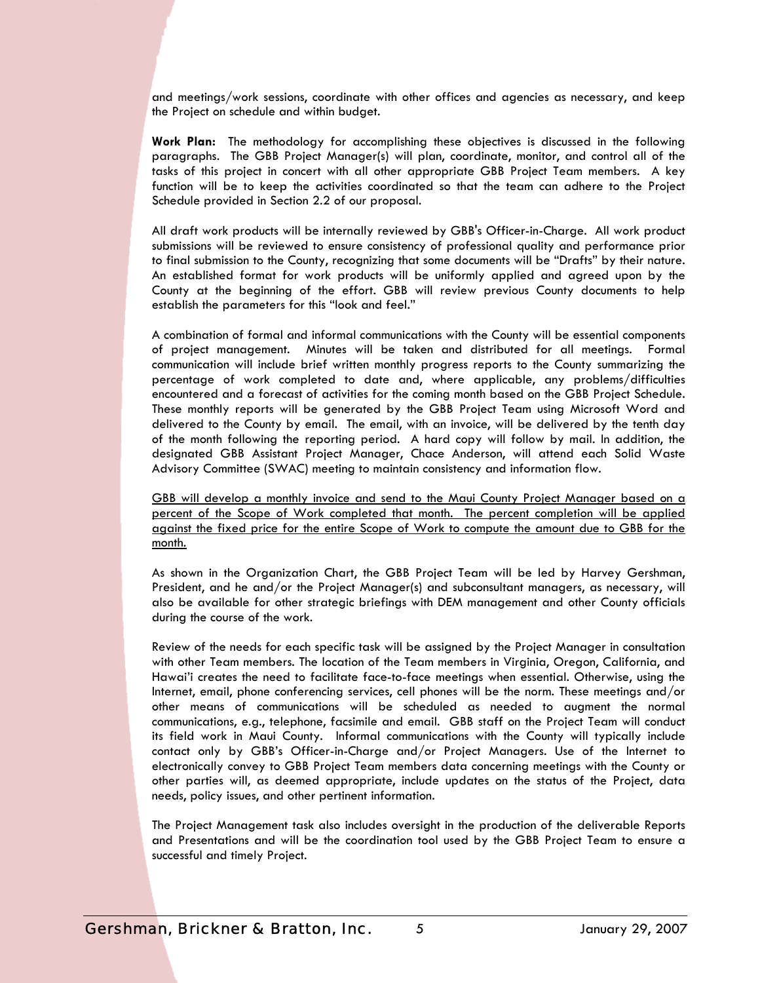and meetings/work sessions, coordinate with other offices and agencies as necessary, and keep the Project on schedule and within budget.

**Work Plan:** The methodology for accomplishing these objectives is discussed in the following paragraphs. The GBB Project Manager(s) will plan, coordinate, monitor, and control all of the tasks of this project in concert with all other appropriate GBB Project Team members. A key function will be to keep the activities coordinated so that the team can adhere to the Project Schedule provided in Section 2.2 of our proposal.

All draft work products will be internally reviewed by GBB's Officer-in-Charge. All work product submissions will be reviewed to ensure consistency of professional quality and performance prior to final submission to the County, recognizing that some documents will be "Drafts" by their nature. An established format for work products will be uniformly applied and agreed upon by the County at the beginning of the effort. GBB will review previous County documents to help establish the parameters for this "look and feel."

A combination of formal and informal communications with the County will be essential components of project management. Minutes will be taken and distributed for all meetings. Formal communication will include brief written monthly progress reports to the County summarizing the percentage of work completed to date and, where applicable, any problems/difficulties encountered and a forecast of activities for the coming month based on the GBB Project Schedule. These monthly reports will be generated by the GBB Project Team using Microsoft Word and delivered to the County by email. The email, with an invoice, will be delivered by the tenth day of the month following the reporting period. A hard copy will follow by mail. In addition, the designated GBB Assistant Project Manager, Chace Anderson, will attend each Solid Waste Advisory Committee (SWAC) meeting to maintain consistency and information flow.

GBB will develop a monthly invoice and send to the Maui County Project Manager based on a percent of the Scope of Work completed that month. The percent completion will be applied against the fixed price for the entire Scope of Work to compute the amount due to GBB for the month.

As shown in the Organization Chart, the GBB Project Team will be led by Harvey Gershman, President, and he and/or the Project Manager(s) and subconsultant managers, as necessary, will also be available for other strategic briefings with DEM management and other County officials during the course of the work.

Review of the needs for each specific task will be assigned by the Project Manager in consultation with other Team members. The location of the Team members in Virginia, Oregon, California, and Hawai'i creates the need to facilitate face-to-face meetings when essential. Otherwise, using the Internet, email, phone conferencing services, cell phones will be the norm. These meetings and/or other means of communications will be scheduled as needed to augment the normal communications, e.g., telephone, facsimile and email. GBB staff on the Project Team will conduct its field work in Maui County. Informal communications with the County will typically include contact only by GBB's Officer-in-Charge and/or Project Managers. Use of the Internet to electronically convey to GBB Project Team members data concerning meetings with the County or other parties will, as deemed appropriate, include updates on the status of the Project, data needs, policy issues, and other pertinent information.

The Project Management task also includes oversight in the production of the deliverable Reports and Presentations and will be the coordination tool used by the GBB Project Team to ensure a successful and timely Project.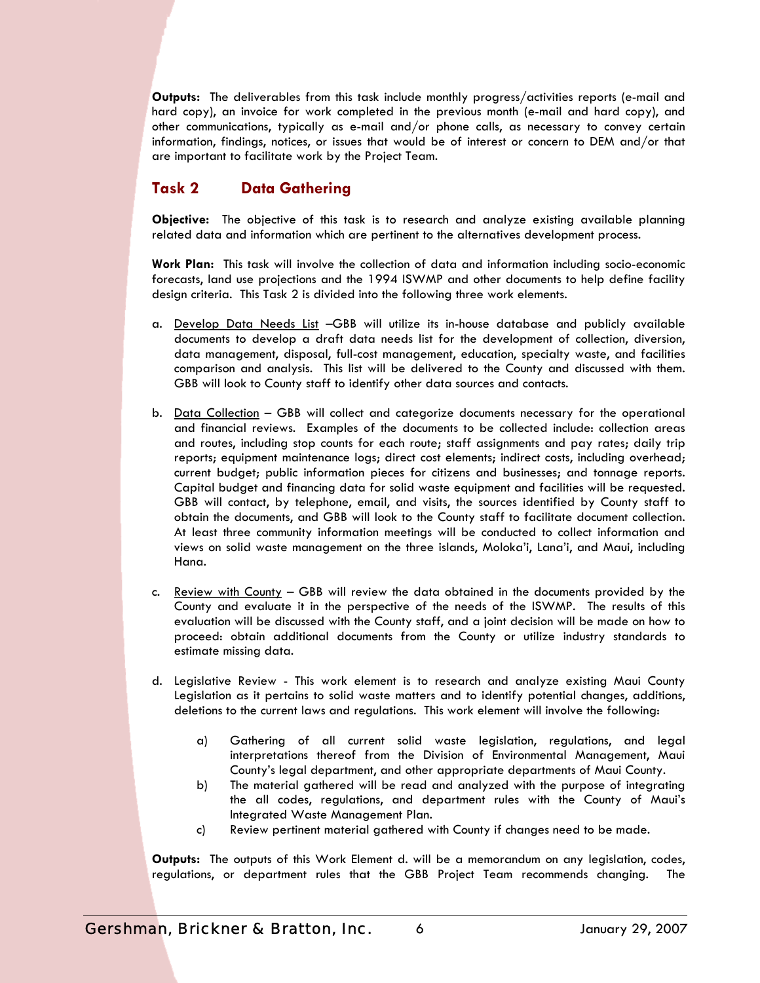**Outputs:** The deliverables from this task include monthly progress/activities reports (e-mail and hard copy), an invoice for work completed in the previous month (e-mail and hard copy), and other communications, typically as e-mail and/or phone calls, as necessary to convey certain information, findings, notices, or issues that would be of interest or concern to DEM and/or that are important to facilitate work by the Project Team.

## **Task 2 Data Gathering**

**Objective:** The objective of this task is to research and analyze existing available planning related data and information which are pertinent to the alternatives development process.

**Work Plan:** This task will involve the collection of data and information including socio-economic forecasts, land use projections and the 1994 ISWMP and other documents to help define facility design criteria. This Task 2 is divided into the following three work elements.

- a. Develop Data Needs List –GBB will utilize its in-house database and publicly available documents to develop a draft data needs list for the development of collection, diversion, data management, disposal, full-cost management, education, specialty waste, and facilities comparison and analysis. This list will be delivered to the County and discussed with them. GBB will look to County staff to identify other data sources and contacts.
- b. Data Collection GBB will collect and categorize documents necessary for the operational and financial reviews. Examples of the documents to be collected include: collection areas and routes, including stop counts for each route; staff assignments and pay rates; daily trip reports; equipment maintenance logs; direct cost elements; indirect costs, including overhead; current budget; public information pieces for citizens and businesses; and tonnage reports. Capital budget and financing data for solid waste equipment and facilities will be requested. GBB will contact, by telephone, email, and visits, the sources identified by County staff to obtain the documents, and GBB will look to the County staff to facilitate document collection. At least three community information meetings will be conducted to collect information and views on solid waste management on the three islands, Moloka'i, Lana'i, and Maui, including Hana.
- c. Review with County GBB will review the data obtained in the documents provided by the County and evaluate it in the perspective of the needs of the ISWMP. The results of this evaluation will be discussed with the County staff, and a joint decision will be made on how to proceed: obtain additional documents from the County or utilize industry standards to estimate missing data.
- d. Legislative Review This work element is to research and analyze existing Maui County Legislation as it pertains to solid waste matters and to identify potential changes, additions, deletions to the current laws and regulations. This work element will involve the following:
	- a) Gathering of all current solid waste legislation, regulations, and legal interpretations thereof from the Division of Environmental Management, Maui County's legal department, and other appropriate departments of Maui County.
	- b) The material gathered will be read and analyzed with the purpose of integrating the all codes, regulations, and department rules with the County of Maui's Integrated Waste Management Plan.
	- c) Review pertinent material gathered with County if changes need to be made.

**Outputs:** The outputs of this Work Element d. will be a memorandum on any legislation, codes, regulations, or department rules that the GBB Project Team recommends changing.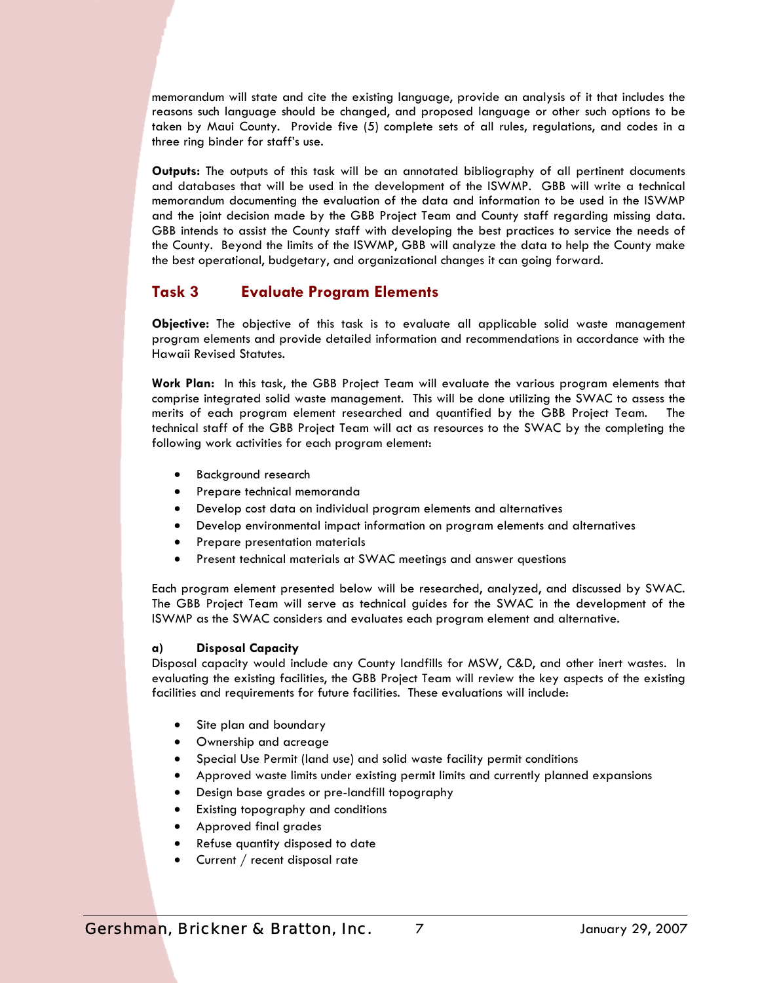memorandum will state and cite the existing language, provide an analysis of it that includes the reasons such language should be changed, and proposed language or other such options to be taken by Maui County. Provide five (5) complete sets of all rules, regulations, and codes in a three ring binder for staff's use.

**Outputs:** The outputs of this task will be an annotated bibliography of all pertinent documents and databases that will be used in the development of the ISWMP. GBB will write a technical memorandum documenting the evaluation of the data and information to be used in the ISWMP and the joint decision made by the GBB Project Team and County staff regarding missing data. GBB intends to assist the County staff with developing the best practices to service the needs of the County. Beyond the limits of the ISWMP, GBB will analyze the data to help the County make the best operational, budgetary, and organizational changes it can going forward.

### **Task 3 Evaluate Program Elements**

**Objective:** The objective of this task is to evaluate all applicable solid waste management program elements and provide detailed information and recommendations in accordance with the Hawaii Revised Statutes.

**Work Plan:** In this task, the GBB Project Team will evaluate the various program elements that comprise integrated solid waste management. This will be done utilizing the SWAC to assess the merits of each program element researched and quantified by the GBB Project Team. The technical staff of the GBB Project Team will act as resources to the SWAC by the completing the following work activities for each program element:

- Background research
- Prepare technical memoranda
- Develop cost data on individual program elements and alternatives
- Develop environmental impact information on program elements and alternatives
- Prepare presentation materials
- Present technical materials at SWAC meetings and answer questions

Each program element presented below will be researched, analyzed, and discussed by SWAC. The GBB Project Team will serve as technical guides for the SWAC in the development of the ISWMP as the SWAC considers and evaluates each program element and alternative.

#### **a) Disposal Capacity**

Disposal capacity would include any County landfills for MSW, C&D, and other inert wastes. In evaluating the existing facilities, the GBB Project Team will review the key aspects of the existing facilities and requirements for future facilities. These evaluations will include:

- Site plan and boundary
- Ownership and acreage
- Special Use Permit (land use) and solid waste facility permit conditions
- Approved waste limits under existing permit limits and currently planned expansions
- Design base grades or pre-landfill topography
- Existing topography and conditions
- Approved final grades
- Refuse quantity disposed to date
- Current / recent disposal rate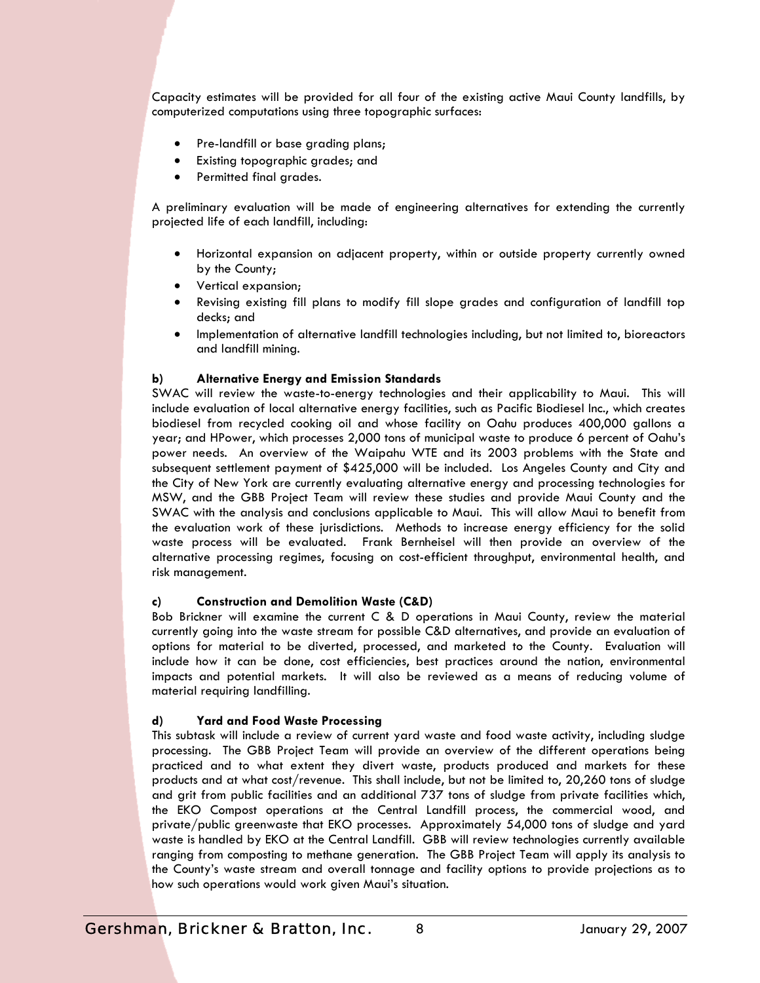Capacity estimates will be provided for all four of the existing active Maui County landfills, by computerized computations using three topographic surfaces:

- Pre-landfill or base grading plans;
- Existing topographic grades; and
- Permitted final grades.

A preliminary evaluation will be made of engineering alternatives for extending the currently projected life of each landfill, including:

- Horizontal expansion on adjacent property, within or outside property currently owned by the County;
- Vertical expansion;
- Revising existing fill plans to modify fill slope grades and configuration of landfill top decks; and
- Implementation of alternative landfill technologies including, but not limited to, bioreactors and landfill mining.

#### **b) Alternative Energy and Emission Standards**

SWAC will review the waste-to-energy technologies and their applicability to Maui. This will include evaluation of local alternative energy facilities, such as Pacific Biodiesel Inc., which creates biodiesel from recycled cooking oil and whose facility on Oahu produces 400,000 gallons a year; and HPower, which processes 2,000 tons of municipal waste to produce 6 percent of Oahu's power needs. An overview of the Waipahu WTE and its 2003 problems with the State and subsequent settlement payment of \$425,000 will be included. Los Angeles County and City and the City of New York are currently evaluating alternative energy and processing technologies for MSW, and the GBB Project Team will review these studies and provide Maui County and the SWAC with the analysis and conclusions applicable to Maui. This will allow Maui to benefit from the evaluation work of these jurisdictions. Methods to increase energy efficiency for the solid waste process will be evaluated. Frank Bernheisel will then provide an overview of the alternative processing regimes, focusing on cost-efficient throughput, environmental health, and risk management.

#### **c) Construction and Demolition Waste (C&D)**

Bob Brickner will examine the current C & D operations in Maui County, review the material currently going into the waste stream for possible C&D alternatives, and provide an evaluation of options for material to be diverted, processed, and marketed to the County. Evaluation will include how it can be done, cost efficiencies, best practices around the nation, environmental impacts and potential markets. It will also be reviewed as a means of reducing volume of material requiring landfilling.

#### **d) Yard and Food Waste Processing**

This subtask will include a review of current yard waste and food waste activity, including sludge processing. The GBB Project Team will provide an overview of the different operations being practiced and to what extent they divert waste, products produced and markets for these products and at what cost/revenue. This shall include, but not be limited to, 20,260 tons of sludge and grit from public facilities and an additional 737 tons of sludge from private facilities which, the EKO Compost operations at the Central Landfill process, the commercial wood, and private/public greenwaste that EKO processes. Approximately 54,000 tons of sludge and yard waste is handled by EKO at the Central Landfill. GBB will review technologies currently available ranging from composting to methane generation. The GBB Project Team will apply its analysis to the County's waste stream and overall tonnage and facility options to provide projections as to how such operations would work given Maui's situation.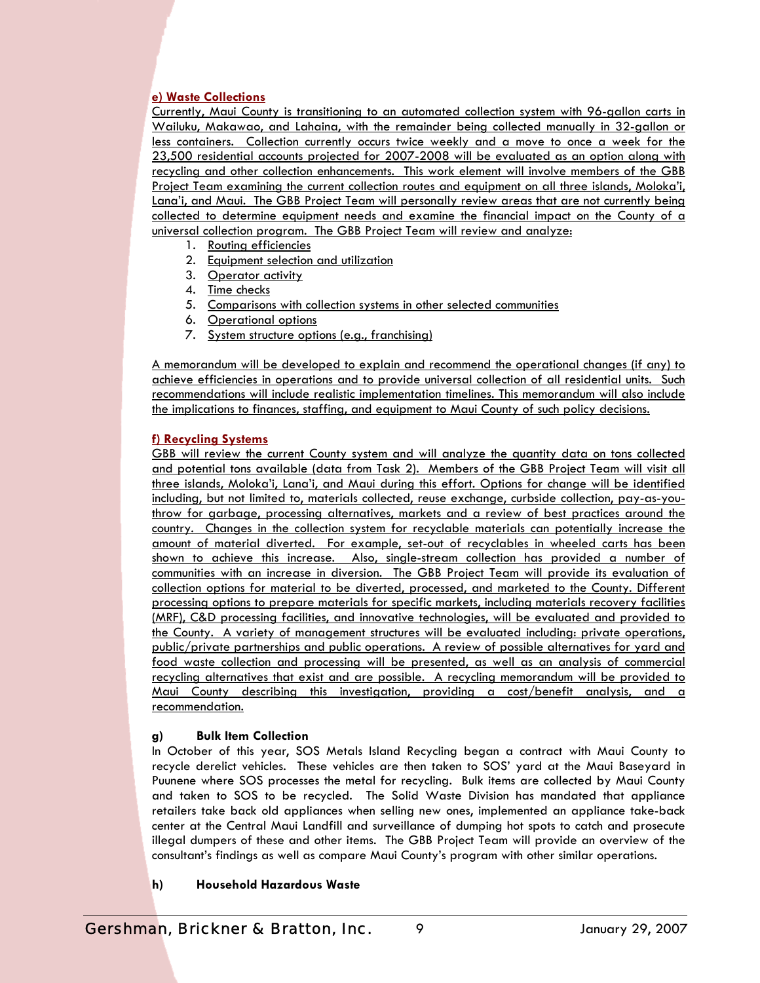#### **e) Waste Collections**

Currently, Maui County is transitioning to an automated collection system with 96-gallon carts in Wailuku, Makawao, and Lahaina, with the remainder being collected manually in 32-gallon or less containers. Collection currently occurs twice weekly and a move to once a week for the 23,500 residential accounts projected for 2007-2008 will be evaluated as an option along with recycling and other collection enhancements. This work element will involve members of the GBB Project Team examining the current collection routes and equipment on all three islands, Moloka'i, Lana'i, and Maui. The GBB Project Team will personally review areas that are not currently being collected to determine equipment needs and examine the financial impact on the County of a universal collection program. The GBB Project Team will review and analyze:

- 1. Routing efficiencies
- 2. Equipment selection and utilization
- 3. Operator activity
- 4. Time checks
- 5. Comparisons with collection systems in other selected communities
- 6. Operational options
- 7. System structure options (e.g., franchising)

A memorandum will be developed to explain and recommend the operational changes (if any) to achieve efficiencies in operations and to provide universal collection of all residential units. Such recommendations will include realistic implementation timelines. This memorandum will also include the implications to finances, staffing, and equipment to Maui County of such policy decisions.

#### **f) Recycling Systems**

GBB will review the current County system and will analyze the quantity data on tons collected and potential tons available (data from Task 2). Members of the GBB Project Team will visit all three islands, Moloka'i, Lana'i, and Maui during this effort. Options for change will be identified including, but not limited to, materials collected, reuse exchange, curbside collection, pay-as-youthrow for garbage, processing alternatives, markets and a review of best practices around the country. Changes in the collection system for recyclable materials can potentially increase the amount of material diverted. For example, set-out of recyclables in wheeled carts has been shown to achieve this increase. Also, single-stream collection has provided a number of communities with an increase in diversion. The GBB Project Team will provide its evaluation of collection options for material to be diverted, processed, and marketed to the County. Different processing options to prepare materials for specific markets, including materials recovery facilities (MRF), C&D processing facilities, and innovative technologies, will be evaluated and provided to the County. A variety of management structures will be evaluated including: private operations, public/private partnerships and public operations. A review of possible alternatives for yard and food waste collection and processing will be presented, as well as an analysis of commercial recycling alternatives that exist and are possible. A recycling memorandum will be provided to Maui County describing this investigation, providing a cost/benefit analysis, and a recommendation.

#### **g) Bulk Item Collection**

In October of this year, SOS Metals Island Recycling began a contract with Maui County to recycle derelict vehicles. These vehicles are then taken to SOS' yard at the Maui Baseyard in Puunene where SOS processes the metal for recycling. Bulk items are collected by Maui County and taken to SOS to be recycled. The Solid Waste Division has mandated that appliance retailers take back old appliances when selling new ones, implemented an appliance take-back center at the Central Maui Landfill and surveillance of dumping hot spots to catch and prosecute illegal dumpers of these and other items. The GBB Project Team will provide an overview of the consultant's findings as well as compare Maui County's program with other similar operations.

**h) Household Hazardous Waste**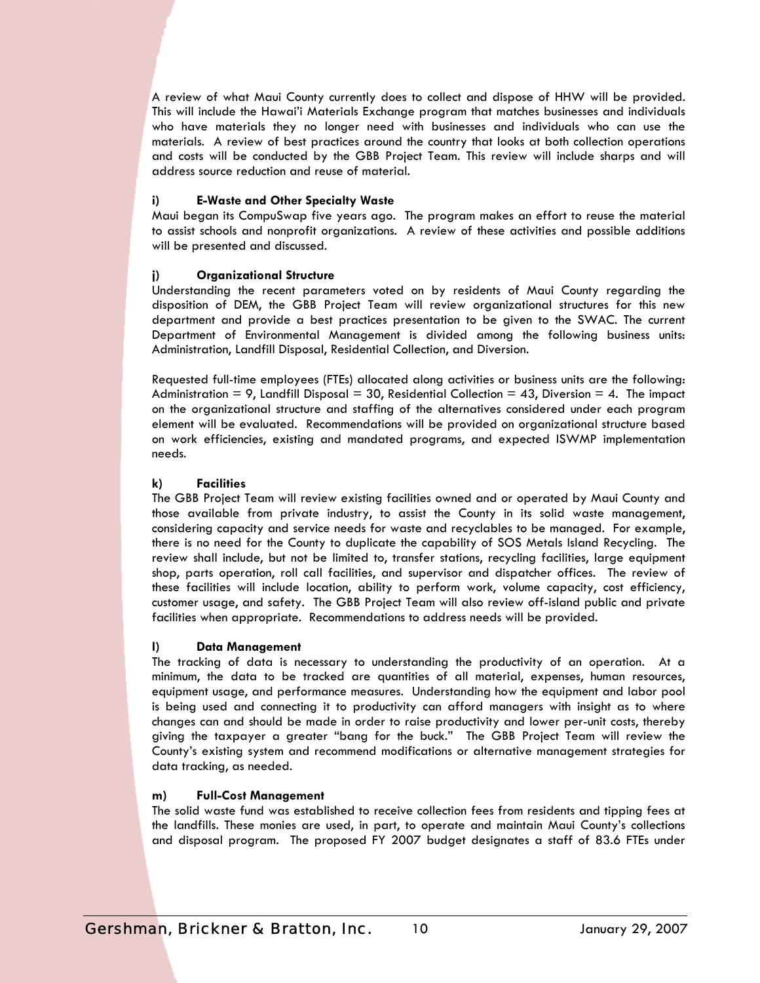A review of what Maui County currently does to collect and dispose of HHW will be provided. This will include the Hawai'i Materials Exchange program that matches businesses and individuals who have materials they no longer need with businesses and individuals who can use the materials. A review of best practices around the country that looks at both collection operations and costs will be conducted by the GBB Project Team. This review will include sharps and will address source reduction and reuse of material.

#### **i) E-Waste and Other Specialty Waste**

Maui began its CompuSwap five years ago. The program makes an effort to reuse the material to assist schools and nonprofit organizations. A review of these activities and possible additions will be presented and discussed.

#### **j) Organizational Structure**

Understanding the recent parameters voted on by residents of Maui County regarding the disposition of DEM, the GBB Project Team will review organizational structures for this new department and provide a best practices presentation to be given to the SWAC. The current Department of Environmental Management is divided among the following business units: Administration, Landfill Disposal, Residential Collection, and Diversion.

Requested full-time employees (FTEs) allocated along activities or business units are the following: Administration  $= 9$ , Landfill Disposal  $= 30$ , Residential Collection  $= 43$ , Diversion  $= 4$ . The impact on the organizational structure and staffing of the alternatives considered under each program element will be evaluated. Recommendations will be provided on organizational structure based on work efficiencies, existing and mandated programs, and expected ISWMP implementation needs.

#### **k) Facilities**

The GBB Project Team will review existing facilities owned and or operated by Maui County and those available from private industry, to assist the County in its solid waste management, considering capacity and service needs for waste and recyclables to be managed. For example, there is no need for the County to duplicate the capability of SOS Metals Island Recycling. The review shall include, but not be limited to, transfer stations, recycling facilities, large equipment shop, parts operation, roll call facilities, and supervisor and dispatcher offices. The review of these facilities will include location, ability to perform work, volume capacity, cost efficiency, customer usage, and safety. The GBB Project Team will also review off-island public and private facilities when appropriate. Recommendations to address needs will be provided.

#### **l) Data Management**

The tracking of data is necessary to understanding the productivity of an operation. At a minimum, the data to be tracked are quantities of all material, expenses, human resources, equipment usage, and performance measures. Understanding how the equipment and labor pool is being used and connecting it to productivity can afford managers with insight as to where changes can and should be made in order to raise productivity and lower per-unit costs, thereby giving the taxpayer a greater "bang for the buck." The GBB Project Team will review the County's existing system and recommend modifications or alternative management strategies for data tracking, as needed.

#### **m) Full-Cost Management**

The solid waste fund was established to receive collection fees from residents and tipping fees at the landfills. These monies are used, in part, to operate and maintain Maui County's collections and disposal program. The proposed FY 2007 budget designates a staff of 83.6 FTEs under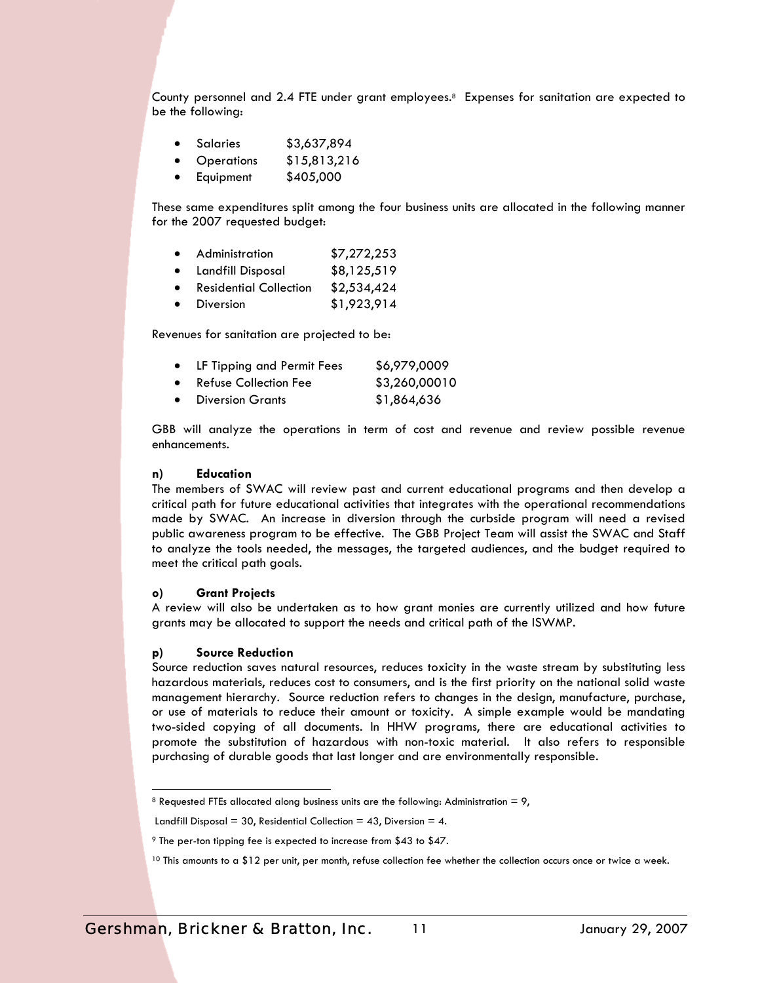County personnel and 2.4 FTE under grant employees.8 Expenses for sanitation are expected to be the following:

- Salaries \$3,637,894
- Operations \$15,813,216
- Equipment \$405,000

These same expenditures split among the four business units are allocated in the following manner for the 2007 requested budget:

| $\bullet$ | Administration                | \$7,272,253 |
|-----------|-------------------------------|-------------|
| $\bullet$ | Landfill Disposal             | \$8,125,519 |
| $\bullet$ | <b>Residential Collection</b> | \$2,534,424 |
| $\bullet$ | <b>Diversion</b>              | \$1,923,914 |

Revenues for sanitation are projected to be:

|  |  | LF Tipping and Permit Fees | \$6,979,0009 |
|--|--|----------------------------|--------------|
|--|--|----------------------------|--------------|

- Refuse Collection Fee \$3,260,00010
- Diversion Grants \$1,864,636

GBB will analyze the operations in term of cost and revenue and review possible revenue enhancements.

#### **n) Education**

The members of SWAC will review past and current educational programs and then develop a critical path for future educational activities that integrates with the operational recommendations made by SWAC. An increase in diversion through the curbside program will need a revised public awareness program to be effective. The GBB Project Team will assist the SWAC and Staff to analyze the tools needed, the messages, the targeted audiences, and the budget required to meet the critical path goals.

#### **o) Grant Projects**

A review will also be undertaken as to how grant monies are currently utilized and how future grants may be allocated to support the needs and critical path of the ISWMP.

#### **p) Source Reduction**

1

Source reduction saves natural resources, reduces toxicity in the waste stream by substituting less hazardous materials, reduces cost to consumers, and is the first priority on the national solid waste management hierarchy. Source reduction refers to changes in the design, manufacture, purchase, or use of materials to reduce their amount or toxicity. A simple example would be mandating two-sided copying of all documents. In HHW programs, there are educational activities to promote the substitution of hazardous with non-toxic material. It also refers to responsible purchasing of durable goods that last longer and are environmentally responsible.

<sup>&</sup>lt;sup>8</sup> Requested FTEs allocated along business units are the following: Administration = 9,

Landfill Disposal = 30, Residential Collection = 43, Diversion = 4.

<sup>9</sup> The per-ton tipping fee is expected to increase from \$43 to \$47.

<sup>&</sup>lt;sup>10</sup> This amounts to a \$12 per unit, per month, refuse collection fee whether the collection occurs once or twice a week.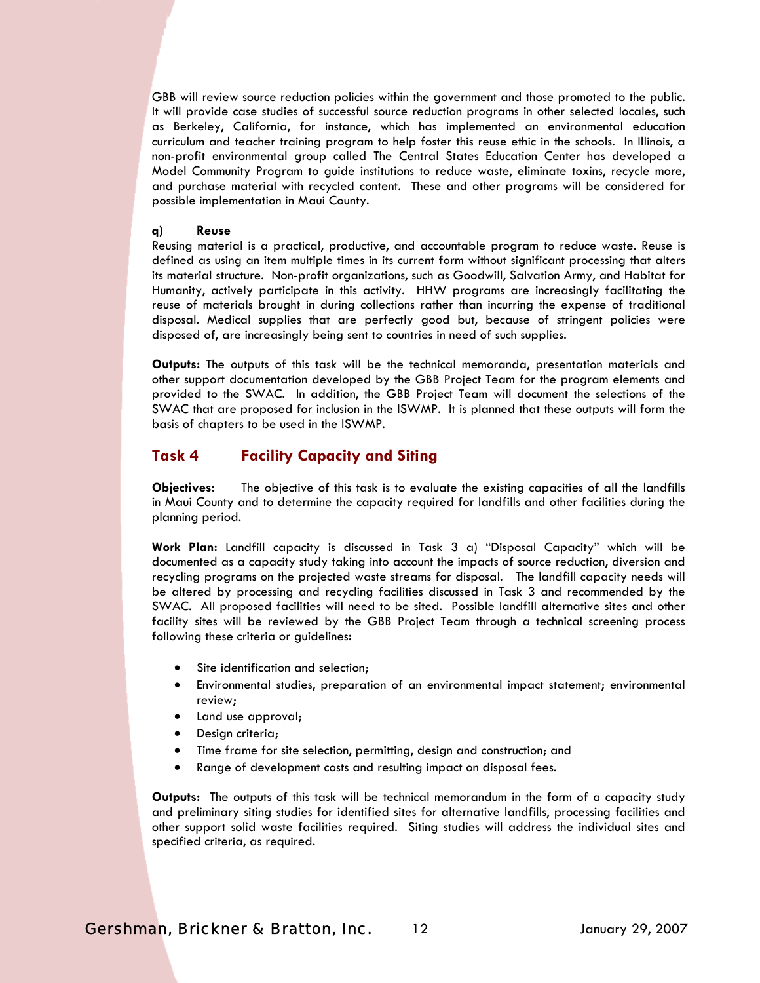GBB will review source reduction policies within the government and those promoted to the public. It will provide case studies of successful source reduction programs in other selected locales, such as Berkeley, California, for instance, which has implemented an environmental education curriculum and teacher training program to help foster this reuse ethic in the schools. In Illinois, a non-profit environmental group called The Central States Education Center has developed a Model Community Program to guide institutions to reduce waste, eliminate toxins, recycle more, and purchase material with recycled content. These and other programs will be considered for possible implementation in Maui County.

#### **q) Reuse**

Reusing material is a practical, productive, and accountable program to reduce waste. Reuse is defined as using an item multiple times in its current form without significant processing that alters its material structure. Non-profit organizations, such as Goodwill, Salvation Army, and Habitat for Humanity, actively participate in this activity. HHW programs are increasingly facilitating the reuse of materials brought in during collections rather than incurring the expense of traditional disposal. Medical supplies that are perfectly good but, because of stringent policies were disposed of, are increasingly being sent to countries in need of such supplies.

**Outputs:** The outputs of this task will be the technical memoranda, presentation materials and other support documentation developed by the GBB Project Team for the program elements and provided to the SWAC. In addition, the GBB Project Team will document the selections of the SWAC that are proposed for inclusion in the ISWMP. It is planned that these outputs will form the basis of chapters to be used in the ISWMP.

## **Task 4 Facility Capacity and Siting**

**Objectives:** The objective of this task is to evaluate the existing capacities of all the landfills in Maui County and to determine the capacity required for landfills and other facilities during the planning period.

**Work Plan:** Landfill capacity is discussed in Task 3 a) "Disposal Capacity" which will be documented as a capacity study taking into account the impacts of source reduction, diversion and recycling programs on the projected waste streams for disposal. The landfill capacity needs will be altered by processing and recycling facilities discussed in Task 3 and recommended by the SWAC. All proposed facilities will need to be sited. Possible landfill alternative sites and other facility sites will be reviewed by the GBB Project Team through a technical screening process following these criteria or guidelines**:** 

- Site identification and selection;
- Environmental studies, preparation of an environmental impact statement; environmental review;
- Land use approval;
- Design criteria;
- Time frame for site selection, permitting, design and construction; and
- Range of development costs and resulting impact on disposal fees.

**Outputs:** The outputs of this task will be technical memorandum in the form of a capacity study and preliminary siting studies for identified sites for alternative landfills, processing facilities and other support solid waste facilities required. Siting studies will address the individual sites and specified criteria, as required.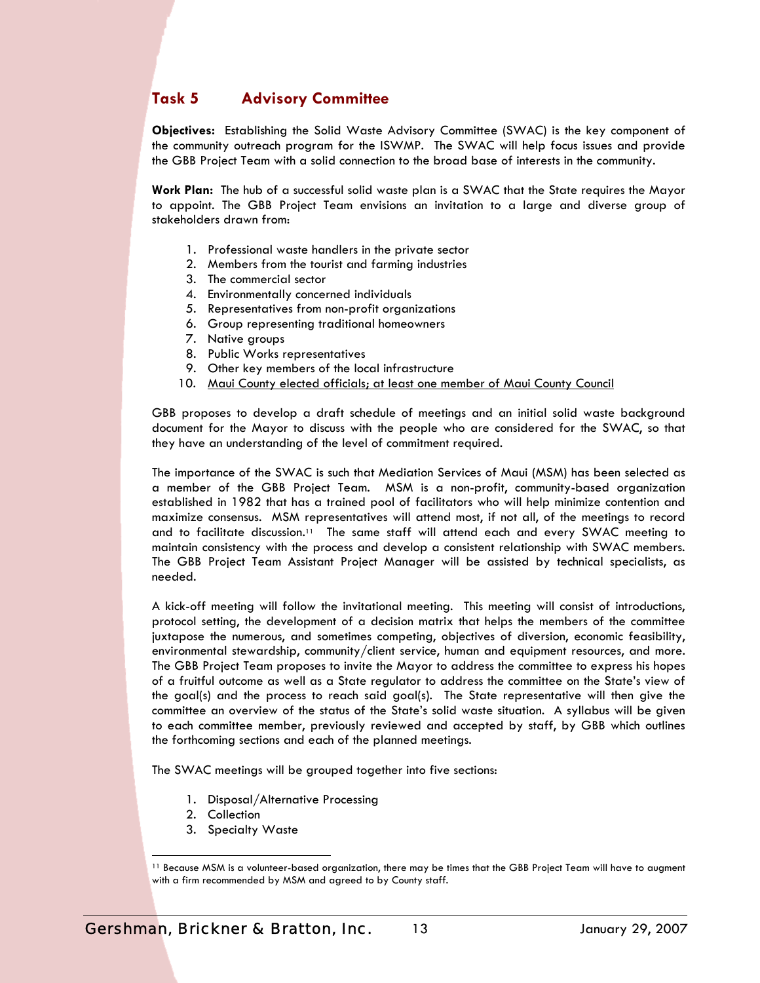## **Task 5 Advisory Committee**

**Objectives:** Establishing the Solid Waste Advisory Committee (SWAC) is the key component of the community outreach program for the ISWMP. The SWAC will help focus issues and provide the GBB Project Team with a solid connection to the broad base of interests in the community.

**Work Plan:** The hub of a successful solid waste plan is a SWAC that the State requires the Mayor to appoint. The GBB Project Team envisions an invitation to a large and diverse group of stakeholders drawn from:

- 1. Professional waste handlers in the private sector
- 2. Members from the tourist and farming industries
- 3. The commercial sector
- 4. Environmentally concerned individuals
- 5. Representatives from non-profit organizations
- 6. Group representing traditional homeowners
- 7. Native groups
- 8. Public Works representatives
- 9. Other key members of the local infrastructure
- 10. Maui County elected officials; at least one member of Maui County Council

GBB proposes to develop a draft schedule of meetings and an initial solid waste background document for the Mayor to discuss with the people who are considered for the SWAC, so that they have an understanding of the level of commitment required.

The importance of the SWAC is such that Mediation Services of Maui (MSM) has been selected as a member of the GBB Project Team. MSM is a non-profit, community-based organization established in 1982 that has a trained pool of facilitators who will help minimize contention and maximize consensus. MSM representatives will attend most, if not all, of the meetings to record and to facilitate discussion.11 The same staff will attend each and every SWAC meeting to maintain consistency with the process and develop a consistent relationship with SWAC members. The GBB Project Team Assistant Project Manager will be assisted by technical specialists, as needed.

A kick-off meeting will follow the invitational meeting. This meeting will consist of introductions, protocol setting, the development of a decision matrix that helps the members of the committee juxtapose the numerous, and sometimes competing, objectives of diversion, economic feasibility, environmental stewardship, community/client service, human and equipment resources, and more. The GBB Project Team proposes to invite the Mayor to address the committee to express his hopes of a fruitful outcome as well as a State regulator to address the committee on the State's view of the goal(s) and the process to reach said goal(s). The State representative will then give the committee an overview of the status of the State's solid waste situation. A syllabus will be given to each committee member, previously reviewed and accepted by staff, by GBB which outlines the forthcoming sections and each of the planned meetings.

The SWAC meetings will be grouped together into five sections:

- 1. Disposal/Alternative Processing
- 2. Collection

1

3. Specialty Waste

<sup>11</sup> Because MSM is a volunteer-based organization, there may be times that the GBB Project Team will have to augment with a firm recommended by MSM and agreed to by County staff.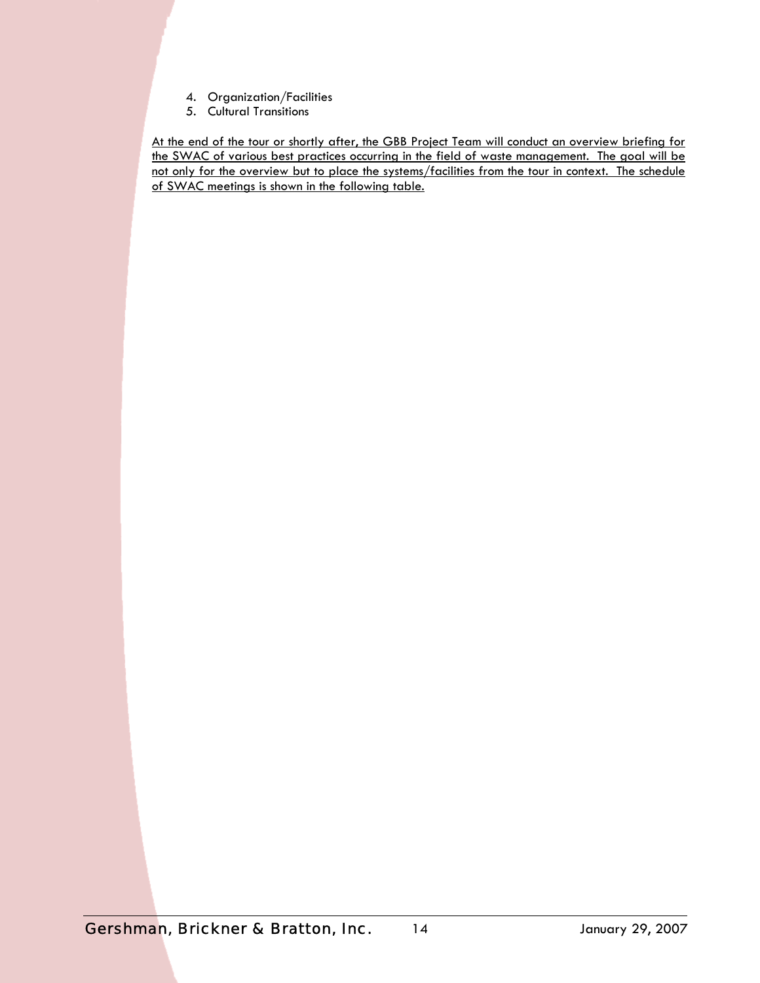- 4. Organization/Facilities
- 5. Cultural Transitions

At the end of the tour or shortly after, the GBB Project Team will conduct an overview briefing for the SWAC of various best practices occurring in the field of waste management. The goal will be not only for the overview but to place the systems/facilities from the tour in context. The schedule of SWAC meetings is shown in the following table.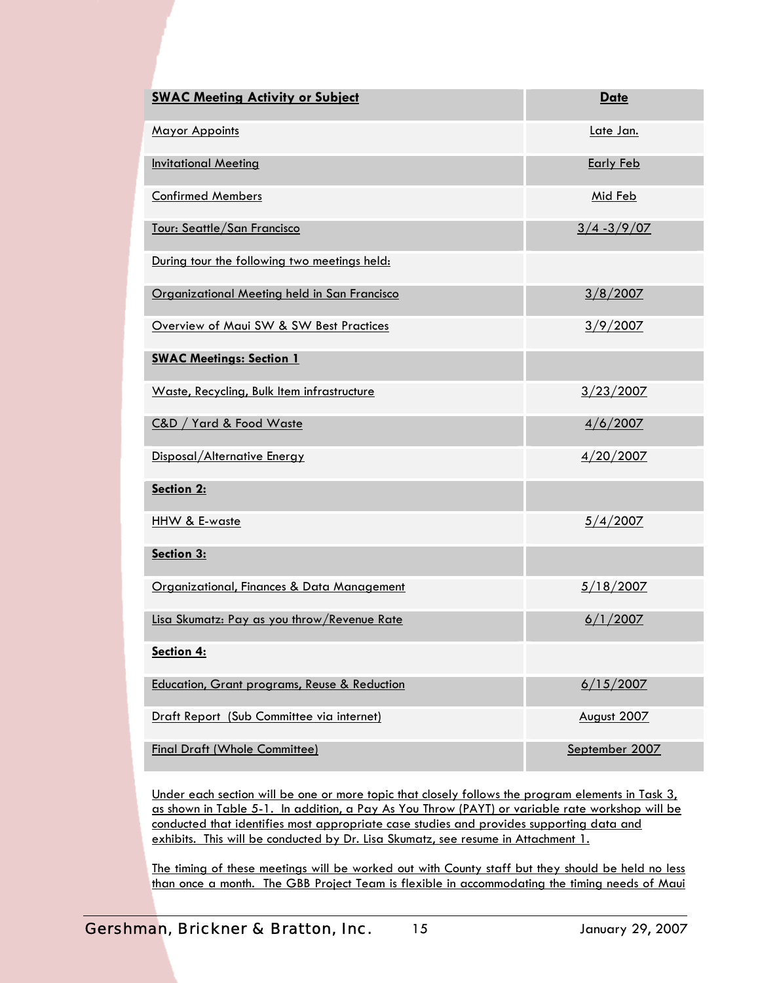| <b>SWAC Meeting Activity or Subject</b>      | <b>Date</b>      |
|----------------------------------------------|------------------|
| <b>Mayor Appoints</b>                        | Late Jan.        |
| <b>Invitational Meeting</b>                  | <b>Early Feb</b> |
| <b>Confirmed Members</b>                     | Mid Feb          |
| Tour: Seattle/San Francisco                  | $3/4 - 3/9/07$   |
| During tour the following two meetings held: |                  |
| Organizational Meeting held in San Francisco | 3/8/2007         |
| Overview of Maui SW & SW Best Practices      | 3/9/2007         |
| <b>SWAC Meetings: Section 1</b>              |                  |
| Waste, Recycling, Bulk Item infrastructure   | 3/23/2007        |
| C&D / Yard & Food Waste                      | 4/6/2007         |
| Disposal/Alternative Energy                  | 4/20/2007        |
| Section 2:                                   |                  |
| HHW & E-waste                                | 5/4/2007         |
| Section 3:                                   |                  |
| Organizational, Finances & Data Management   | <u>5/18/2007</u> |
| Lisa Skumatz: Pay as you throw/Revenue Rate  | 6/1/2007         |
| Section 4:                                   |                  |
| Education, Grant programs, Reuse & Reduction | 6/15/2007        |
| Draft Report (Sub Committee via internet)    | August 2007      |
| <b>Final Draft (Whole Committee)</b>         | September 2007   |

Under each section will be one or more topic that closely follows the program elements in Task 3, as shown in Table 5-1. In addition, a Pay As You Throw (PAYT) or variable rate workshop will be conducted that identifies most appropriate case studies and provides supporting data and exhibits. This will be conducted by Dr. Lisa Skumatz, see resume in Attachment 1.

The timing of these meetings will be worked out with County staff but they should be held no less than once a month. The GBB Project Team is flexible in accommodating the timing needs of Maui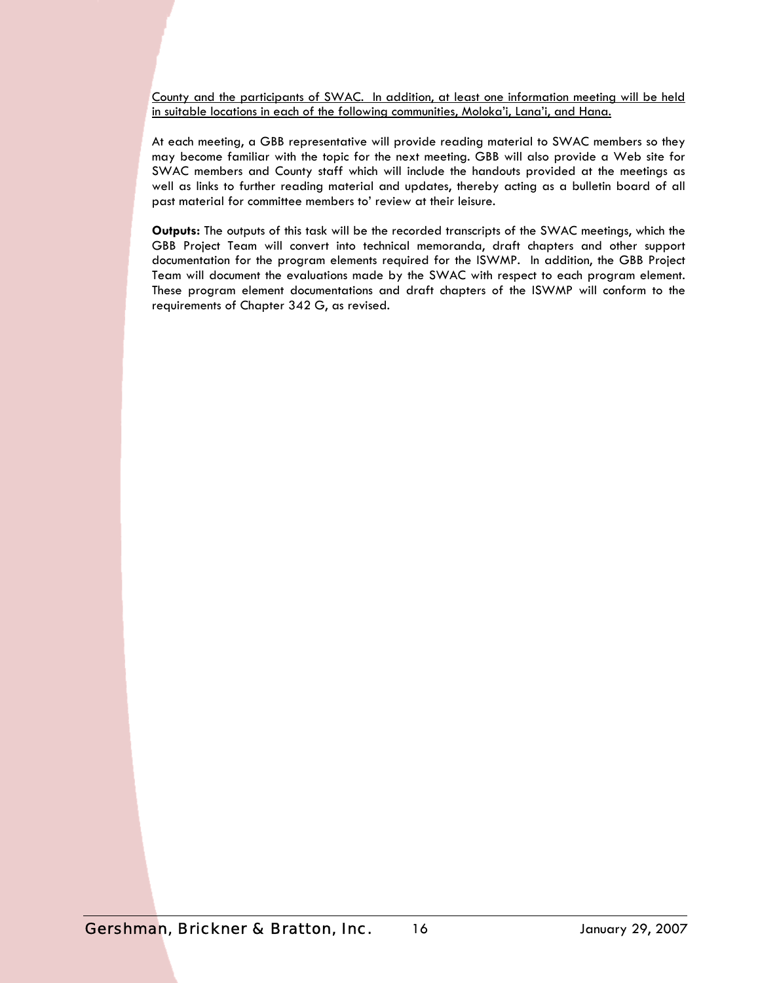County and the participants of SWAC. In addition, at least one information meeting will be held in suitable locations in each of the following communities, Moloka'i, Lana'i, and Hana.

At each meeting, a GBB representative will provide reading material to SWAC members so they may become familiar with the topic for the next meeting. GBB will also provide a Web site for SWAC members and County staff which will include the handouts provided at the meetings as well as links to further reading material and updates, thereby acting as a bulletin board of all past material for committee members to' review at their leisure.

**Outputs:** The outputs of this task will be the recorded transcripts of the SWAC meetings, which the GBB Project Team will convert into technical memoranda, draft chapters and other support documentation for the program elements required for the ISWMP. In addition, the GBB Project Team will document the evaluations made by the SWAC with respect to each program element. These program element documentations and draft chapters of the ISWMP will conform to the requirements of Chapter 342 G, as revised.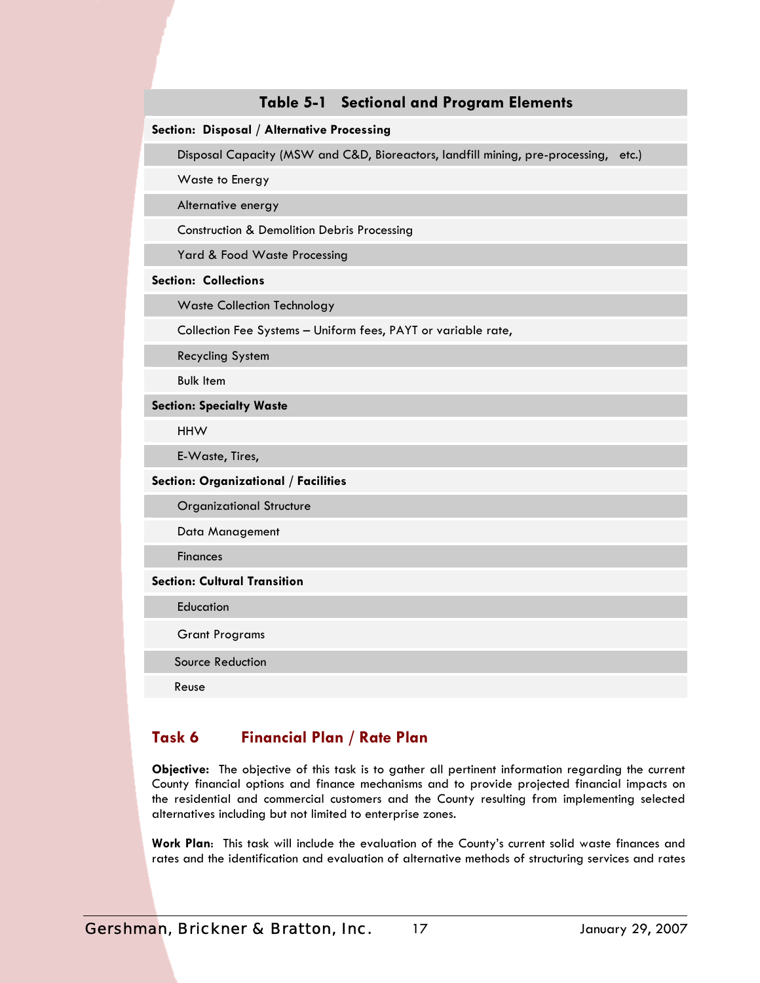## **Table 5-1 Sectional and Program Elements**

#### **Section: Disposal / Alternative Processing**

Disposal Capacity (MSW and C&D, Bioreactors, landfill mining, pre-processing, etc.)

Waste to Energy

Alternative energy

Construction & Demolition Debris Processing

Yard & Food Waste Processing

#### **Section: Collections**

Waste Collection Technology

Collection Fee Systems – Uniform fees, PAYT or variable rate,

Recycling System

Bulk Item

**Section: Specialty Waste** 

HHW

E-Waste, Tires,

#### **Section: Organizational / Facilities**

Organizational Structure

Data Management

**Finances** 

#### **Section: Cultural Transition**

**Education** 

Grant Programs

Source Reduction

Reuse

## **Task 6 Financial Plan / Rate Plan**

**Objective:** The objective of this task is to gather all pertinent information regarding the current County financial options and finance mechanisms and to provide projected financial impacts on the residential and commercial customers and the County resulting from implementing selected alternatives including but not limited to enterprise zones.

**Work Plan**: This task will include the evaluation of the County's current solid waste finances and rates and the identification and evaluation of alternative methods of structuring services and rates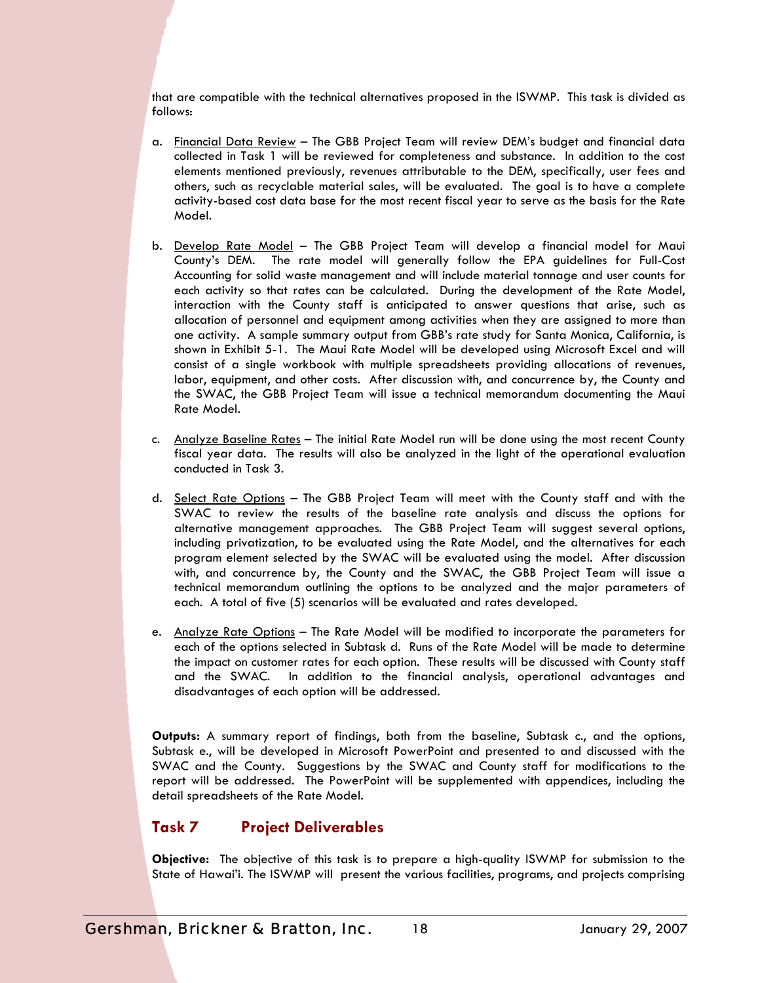that are compatible with the technical alternatives proposed in the ISWMP. This task is divided as follows:

- a. Financial Data Review The GBB Project Team will review DEM's budget and financial data collected in Task 1 will be reviewed for completeness and substance. In addition to the cost elements mentioned previously, revenues attributable to the DEM, specifically, user fees and others, such as recyclable material sales, will be evaluated. The goal is to have a complete activity-based cost data base for the most recent fiscal year to serve as the basis for the Rate Model.
- b. Develop Rate Model The GBB Project Team will develop a financial model for Maui County's DEM. The rate model will generally follow the EPA guidelines for Full-Cost Accounting for solid waste management and will include material tonnage and user counts for each activity so that rates can be calculated. During the development of the Rate Model, interaction with the County staff is anticipated to answer questions that arise, such as allocation of personnel and equipment among activities when they are assigned to more than one activity. A sample summary output from GBB's rate study for Santa Monica, California, is shown in Exhibit 5-1. The Maui Rate Model will be developed using Microsoft Excel and will consist of a single workbook with multiple spreadsheets providing allocations of revenues, labor, equipment, and other costs. After discussion with, and concurrence by, the County and the SWAC, the GBB Project Team will issue a technical memorandum documenting the Maui Rate Model.
- c. Analyze Baseline Rates The initial Rate Model run will be done using the most recent County fiscal year data. The results will also be analyzed in the light of the operational evaluation conducted in Task 3.
- d. Select Rate Options The GBB Project Team will meet with the County staff and with the SWAC to review the results of the baseline rate analysis and discuss the options for alternative management approaches. The GBB Project Team will suggest several options, including privatization, to be evaluated using the Rate Model, and the alternatives for each program element selected by the SWAC will be evaluated using the model. After discussion with, and concurrence by, the County and the SWAC, the GBB Project Team will issue a technical memorandum outlining the options to be analyzed and the major parameters of each. A total of five (5) scenarios will be evaluated and rates developed.
- e. Analyze Rate Options The Rate Model will be modified to incorporate the parameters for each of the options selected in Subtask d. Runs of the Rate Model will be made to determine the impact on customer rates for each option. These results will be discussed with County staff and the SWAC. In addition to the financial analysis, operational advantages and disadvantages of each option will be addressed.

**Outputs:** A summary report of findings, both from the baseline, Subtask c., and the options, Subtask e., will be developed in Microsoft PowerPoint and presented to and discussed with the SWAC and the County. Suggestions by the SWAC and County staff for modifications to the report will be addressed. The PowerPoint will be supplemented with appendices, including the detail spreadsheets of the Rate Model.

## **Task 7 Project Deliverables**

**Objective:** The objective of this task is to prepare a high-quality ISWMP for submission to the State of Hawai'i. The ISWMP will present the various facilities, programs, and projects comprising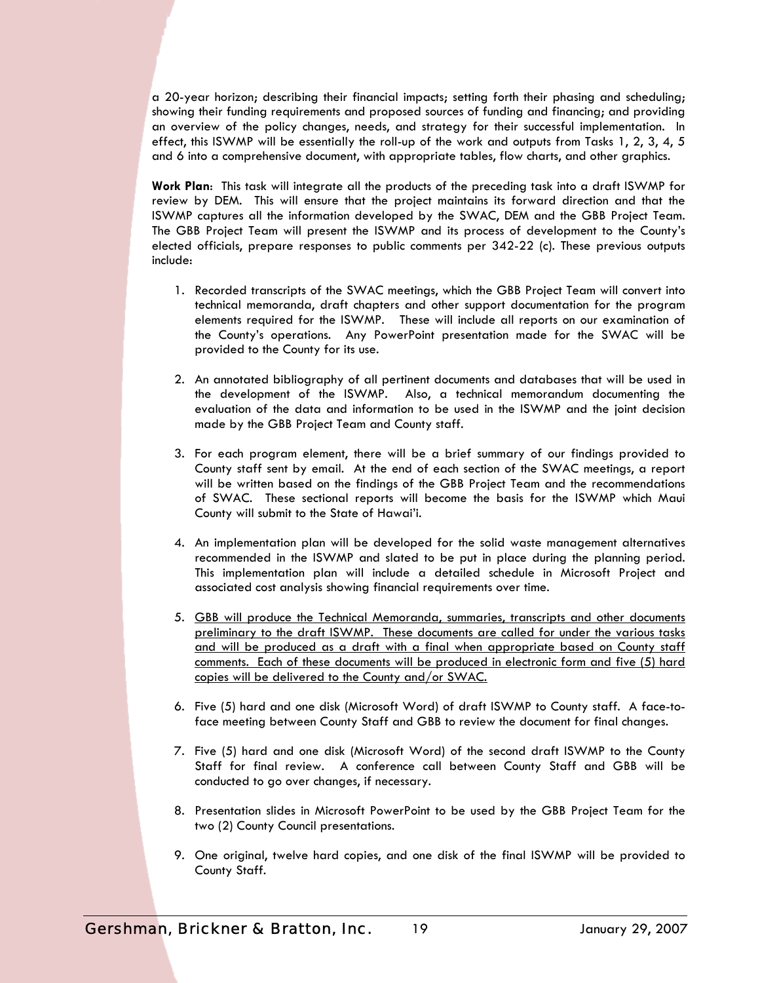a 20-year horizon; describing their financial impacts; setting forth their phasing and scheduling; showing their funding requirements and proposed sources of funding and financing; and providing an overview of the policy changes, needs, and strategy for their successful implementation. In effect, this ISWMP will be essentially the roll-up of the work and outputs from Tasks 1, 2, 3, 4, 5 and 6 into a comprehensive document, with appropriate tables, flow charts, and other graphics.

**Work Plan**: This task will integrate all the products of the preceding task into a draft ISWMP for review by DEM. This will ensure that the project maintains its forward direction and that the ISWMP captures all the information developed by the SWAC, DEM and the GBB Project Team. The GBB Project Team will present the ISWMP and its process of development to the County's elected officials, prepare responses to public comments per 342-22 (c). These previous outputs include:

- 1. Recorded transcripts of the SWAC meetings, which the GBB Project Team will convert into technical memoranda, draft chapters and other support documentation for the program elements required for the ISWMP. These will include all reports on our examination of the County's operations. Any PowerPoint presentation made for the SWAC will be provided to the County for its use.
- 2. An annotated bibliography of all pertinent documents and databases that will be used in the development of the ISWMP. Also, a technical memorandum documenting the evaluation of the data and information to be used in the ISWMP and the joint decision made by the GBB Project Team and County staff.
- 3. For each program element, there will be a brief summary of our findings provided to County staff sent by email. At the end of each section of the SWAC meetings, a report will be written based on the findings of the GBB Project Team and the recommendations of SWAC. These sectional reports will become the basis for the ISWMP which Maui County will submit to the State of Hawai'i.
- 4. An implementation plan will be developed for the solid waste management alternatives recommended in the ISWMP and slated to be put in place during the planning period. This implementation plan will include a detailed schedule in Microsoft Project and associated cost analysis showing financial requirements over time.
- 5. GBB will produce the Technical Memoranda, summaries, transcripts and other documents preliminary to the draft ISWMP. These documents are called for under the various tasks and will be produced as a draft with a final when appropriate based on County staff comments. Each of these documents will be produced in electronic form and five (5) hard copies will be delivered to the County and/or SWAC.
- 6. Five (5) hard and one disk (Microsoft Word) of draft ISWMP to County staff. A face-toface meeting between County Staff and GBB to review the document for final changes.
- 7. Five (5) hard and one disk (Microsoft Word) of the second draft ISWMP to the County Staff for final review. A conference call between County Staff and GBB will be conducted to go over changes, if necessary.
- 8. Presentation slides in Microsoft PowerPoint to be used by the GBB Project Team for the two (2) County Council presentations.
- 9. One original, twelve hard copies, and one disk of the final ISWMP will be provided to County Staff.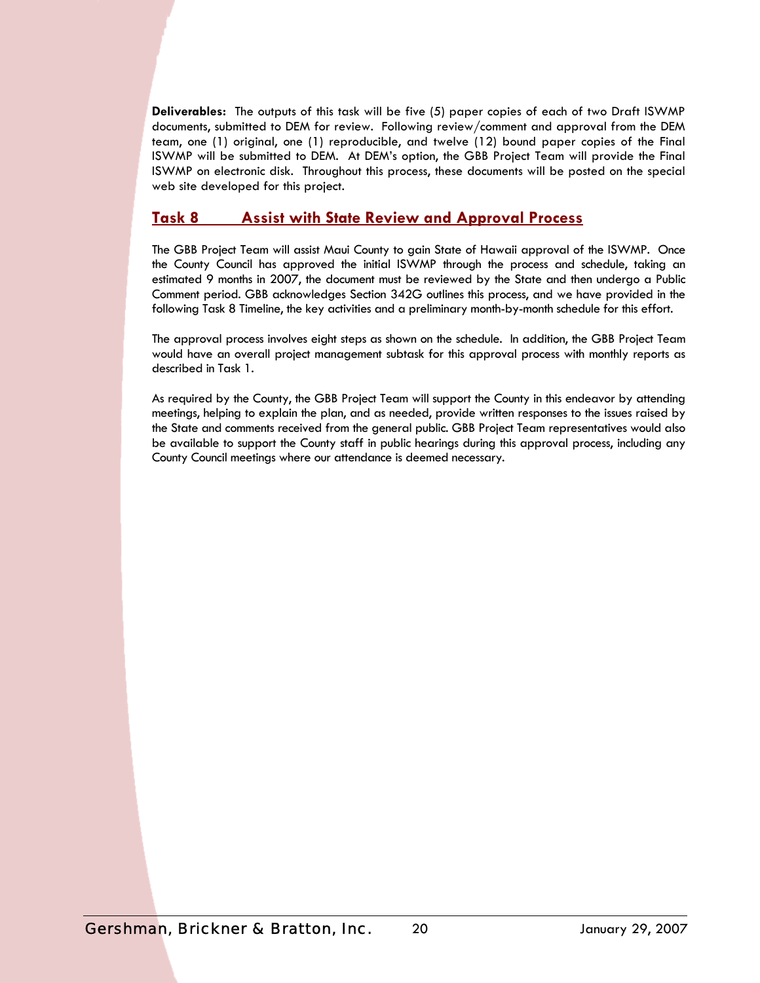**Deliverables:** The outputs of this task will be five (5) paper copies of each of two Draft ISWMP documents, submitted to DEM for review. Following review/comment and approval from the DEM team, one (1) original, one (1) reproducible, and twelve (12) bound paper copies of the Final ISWMP will be submitted to DEM. At DEM's option, the GBB Project Team will provide the Final ISWMP on electronic disk. Throughout this process, these documents will be posted on the special web site developed for this project.

### **Task 8 Assist with State Review and Approval Process**

The GBB Project Team will assist Maui County to gain State of Hawaii approval of the ISWMP. Once the County Council has approved the initial ISWMP through the process and schedule, taking an estimated 9 months in 2007, the document must be reviewed by the State and then undergo a Public Comment period. GBB acknowledges Section 342G outlines this process, and we have provided in the following Task 8 Timeline, the key activities and a preliminary month-by-month schedule for this effort.

The approval process involves eight steps as shown on the schedule. In addition, the GBB Project Team would have an overall project management subtask for this approval process with monthly reports as described in Task 1.

As required by the County, the GBB Project Team will support the County in this endeavor by attending meetings, helping to explain the plan, and as needed, provide written responses to the issues raised by the State and comments received from the general public. GBB Project Team representatives would also be available to support the County staff in public hearings during this approval process, including any County Council meetings where our attendance is deemed necessary.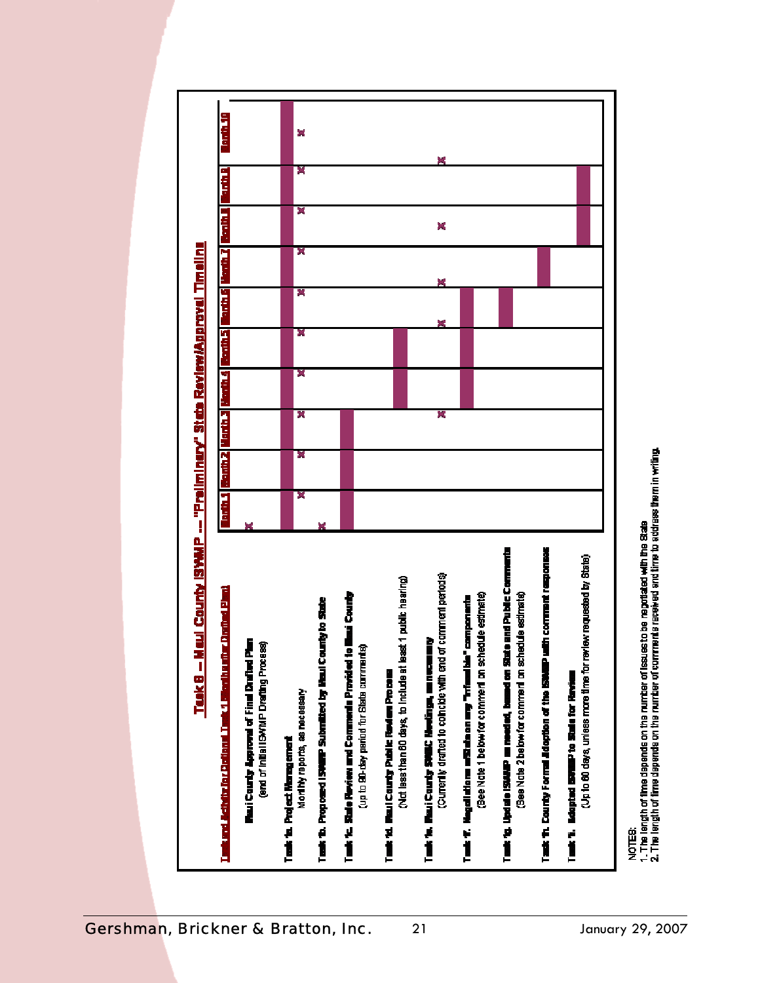

NOTES:<br>1. The length of time depends on the number of issues to be negotiated with the State<br>2. The length of time depends on the number of comments received and time to address them in writing.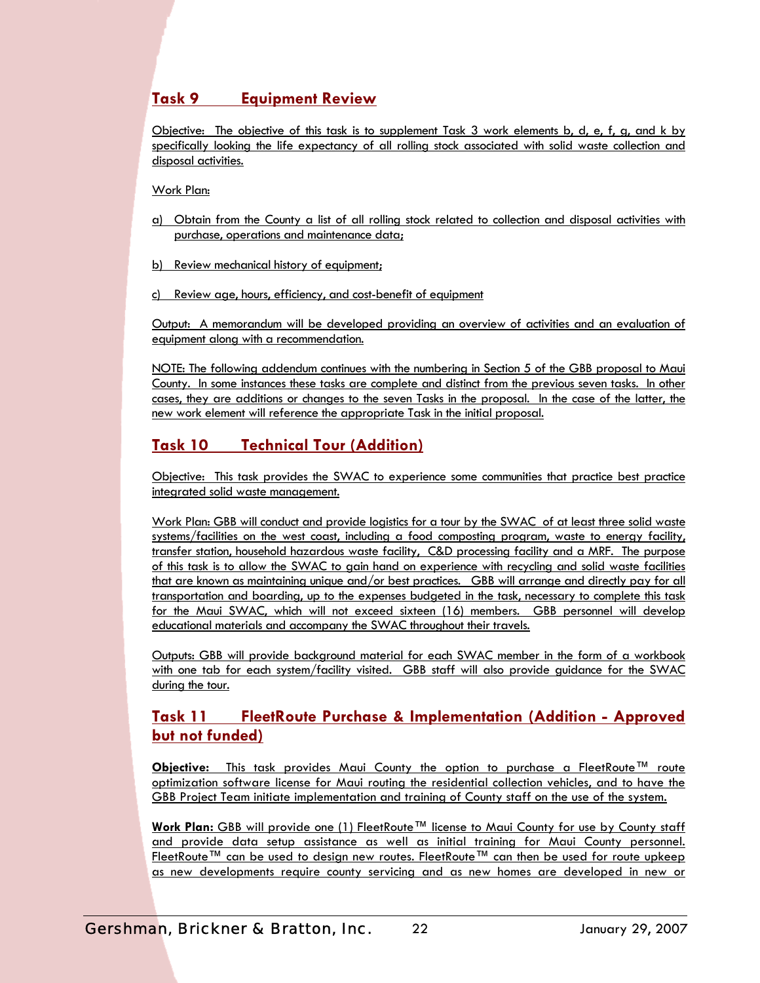## **Task 9 Equipment Review**

Objective: The objective of this task is to supplement Task 3 work elements b, d, e, f, g, and k by specifically looking the life expectancy of all rolling stock associated with solid waste collection and disposal activities.

Work Plan:

- a) Obtain from the County a list of all rolling stock related to collection and disposal activities with purchase, operations and maintenance data;
- b) Review mechanical history of equipment;
- c) Review age, hours, efficiency, and cost-benefit of equipment

Output: A memorandum will be developed providing an overview of activities and an evaluation of equipment along with a recommendation.

NOTE: The following addendum continues with the numbering in Section 5 of the GBB proposal to Maui County. In some instances these tasks are complete and distinct from the previous seven tasks. In other cases, they are additions or changes to the seven Tasks in the proposal. In the case of the latter, the new work element will reference the appropriate Task in the initial proposal.

## **Task 10 Technical Tour (Addition)**

Objective: This task provides the SWAC to experience some communities that practice best practice integrated solid waste management.

Work Plan: GBB will conduct and provide logistics for a tour by the SWAC of at least three solid waste systems/facilities on the west coast, including a food composting program, waste to energy facility, transfer station, household hazardous waste facility, C&D processing facility and a MRF. The purpose of this task is to allow the SWAC to gain hand on experience with recycling and solid waste facilities that are known as maintaining unique and/or best practices. GBB will arrange and directly pay for all transportation and boarding, up to the expenses budgeted in the task, necessary to complete this task for the Maui SWAC, which will not exceed sixteen (16) members. GBB personnel will develop educational materials and accompany the SWAC throughout their travels.

Outputs: GBB will provide background material for each SWAC member in the form of a workbook with one tab for each system/facility visited. GBB staff will also provide guidance for the SWAC during the tour.

## **Task 11 FleetRoute Purchase & Implementation (Addition - Approved but not funded)**

**Objective:** This task provides Maui County the option to purchase a FleetRoute™ route optimization software license for Maui routing the residential collection vehicles, and to have the GBB Project Team initiate implementation and training of County staff on the use of the system.

**Work Plan:** GBB will provide one (1) FleetRoute™ license to Maui County for use by County staff and provide data setup assistance as well as initial training for Maui County personnel. FleetRoute™ can be used to design new routes. FleetRoute™ can then be used for route upkeep as new developments require county servicing and as new homes are developed in new or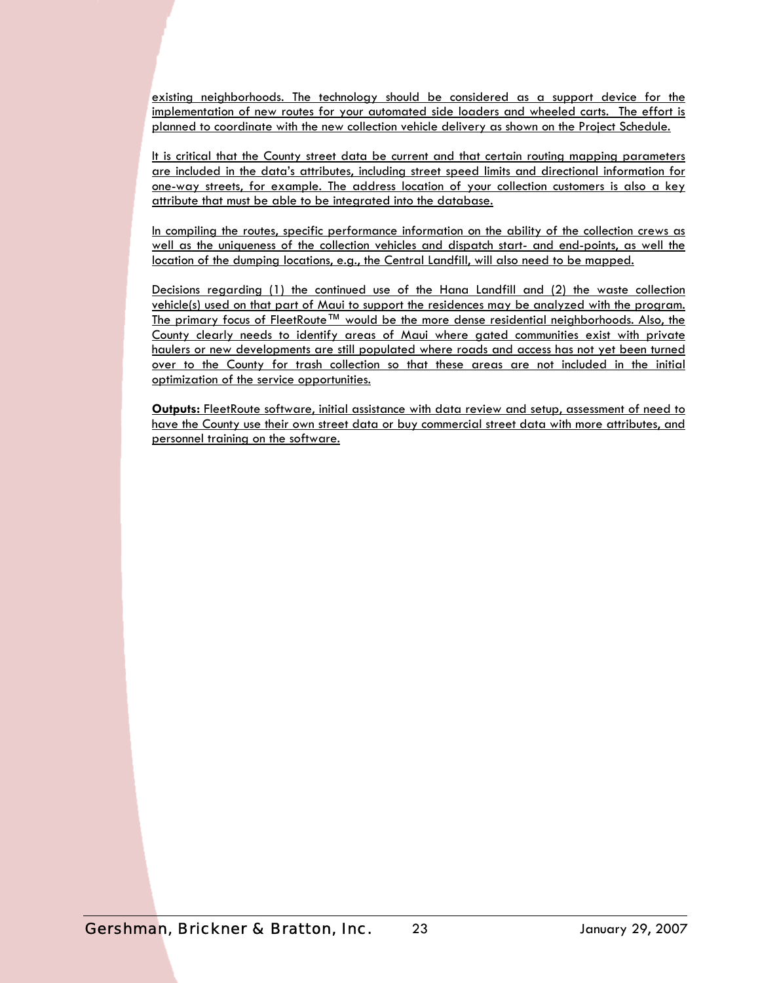existing neighborhoods. The technology should be considered as a support device for the implementation of new routes for your automated side loaders and wheeled carts. The effort is planned to coordinate with the new collection vehicle delivery as shown on the Project Schedule.

It is critical that the County street data be current and that certain routing mapping parameters are included in the data's attributes, including street speed limits and directional information for one-way streets, for example. The address location of your collection customers is also a key attribute that must be able to be integrated into the database.

In compiling the routes, specific performance information on the ability of the collection crews as well as the uniqueness of the collection vehicles and dispatch start- and end-points, as well the location of the dumping locations, e.g., the Central Landfill, will also need to be mapped.

Decisions regarding (1) the continued use of the Hana Landfill and (2) the waste collection vehicle(s) used on that part of Maui to support the residences may be analyzed with the program. The primary focus of FleetRoute™ would be the more dense residential neighborhoods. Also, the County clearly needs to identify areas of Maui where gated communities exist with private haulers or new developments are still populated where roads and access has not yet been turned over to the County for trash collection so that these areas are not included in the initial optimization of the service opportunities.

**Outputs:** FleetRoute software, initial assistance with data review and setup, assessment of need to have the County use their own street data or buy commercial street data with more attributes, and personnel training on the software.